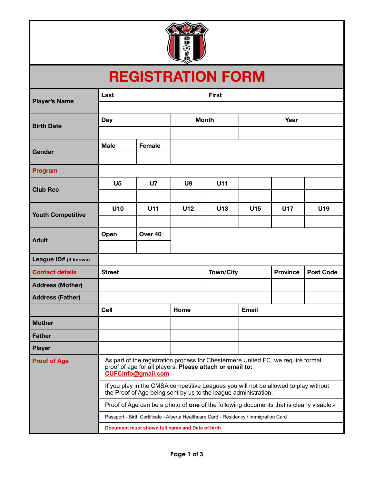

## **REGISTRATION FORM**

| <b>Player's Name</b>     | Last                                                                                                                                                                                                                                              |           |                | <b>First</b>     |                 |                 |                  |
|--------------------------|---------------------------------------------------------------------------------------------------------------------------------------------------------------------------------------------------------------------------------------------------|-----------|----------------|------------------|-----------------|-----------------|------------------|
|                          |                                                                                                                                                                                                                                                   |           |                |                  |                 |                 |                  |
| <b>Birth Date</b>        | Day                                                                                                                                                                                                                                               |           | <b>Month</b>   |                  | Year            |                 |                  |
|                          |                                                                                                                                                                                                                                                   |           |                |                  |                 |                 |                  |
|                          | <b>Male</b>                                                                                                                                                                                                                                       | Female    |                |                  |                 |                 |                  |
| Gender                   |                                                                                                                                                                                                                                                   |           |                |                  |                 |                 |                  |
| Program                  |                                                                                                                                                                                                                                                   |           |                |                  |                 |                 |                  |
| <b>Club Rec</b>          | U <sub>5</sub>                                                                                                                                                                                                                                    | <b>U7</b> | U <sub>9</sub> | U11              |                 |                 |                  |
|                          |                                                                                                                                                                                                                                                   |           |                |                  |                 |                 |                  |
| <b>Youth Competitive</b> | U10                                                                                                                                                                                                                                               | U11       | U12            | U <sub>13</sub>  | U <sub>15</sub> | <b>U17</b>      | U19              |
|                          |                                                                                                                                                                                                                                                   |           |                |                  |                 |                 |                  |
| <b>Adult</b>             | Open                                                                                                                                                                                                                                              | Over 40   |                |                  |                 |                 |                  |
|                          |                                                                                                                                                                                                                                                   |           |                |                  |                 |                 |                  |
| League ID# (If known)    |                                                                                                                                                                                                                                                   |           |                |                  |                 |                 |                  |
| <b>Contact details</b>   | <b>Street</b>                                                                                                                                                                                                                                     |           |                | <b>Town/City</b> |                 | <b>Province</b> | <b>Post Code</b> |
| <b>Address (Mother)</b>  |                                                                                                                                                                                                                                                   |           |                |                  |                 |                 |                  |
| <b>Address (Father)</b>  |                                                                                                                                                                                                                                                   |           |                |                  |                 |                 |                  |
|                          | Cell                                                                                                                                                                                                                                              |           | Home           |                  | <b>Email</b>    |                 |                  |
| <b>Mother</b>            |                                                                                                                                                                                                                                                   |           |                |                  |                 |                 |                  |
| <b>Father</b>            |                                                                                                                                                                                                                                                   |           |                |                  |                 |                 |                  |
| <b>Player</b>            |                                                                                                                                                                                                                                                   |           |                |                  |                 |                 |                  |
| <b>Proof of Age</b>      | As part of the registration process for Chestermere United FC, we require formal<br>proof of age for all players. Please attach or email to:<br><b>CUFCinfo@gmail.com</b>                                                                         |           |                |                  |                 |                 |                  |
|                          | If you play in the CMSA competitive Leagues you will not be allowed to play without<br>the Proof of Age being sent by us to the league administration.<br>Proof of Age can be a photo of one of the following documents that is clearly visable:- |           |                |                  |                 |                 |                  |
|                          |                                                                                                                                                                                                                                                   |           |                |                  |                 |                 |                  |
|                          | Passport - Birth Certificate - Alberta Healthcare Card - Residency / Immigration Card                                                                                                                                                             |           |                |                  |                 |                 |                  |
|                          | Document must shown full name and Date of birth                                                                                                                                                                                                   |           |                |                  |                 |                 |                  |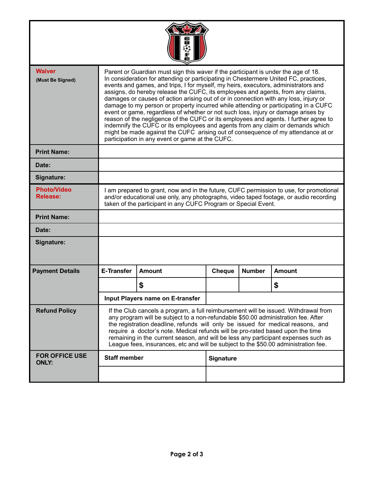| <b>Waiver</b><br>(Must Be Signed)     | Parent or Guardian must sign this waver if the participant is under the age of 18.<br>In consideration for attending or participating in Chestermere United FC, practices,<br>events and games, and trips, I for myself, my heirs, executors, administrators and<br>assigns, do hereby release the CUFC, its employees and agents, from any claims,<br>damages or causes of action arising out of or in connection with any loss, injury or<br>damage to my person or property incurred while attending or participating in a CUFC<br>event or game, regardless of whether or not such loss, injury or damage arises by<br>reason of the negligence of the CUFC or its employees and agents. I further agree to<br>indemnify the CUFC or its employees and agents from any claim or demands which<br>might be made against the CUFC arising out of consequence of my attendance at or<br>participation in any event or game at the CUFC. |               |                  |               |               |  |  |
|---------------------------------------|------------------------------------------------------------------------------------------------------------------------------------------------------------------------------------------------------------------------------------------------------------------------------------------------------------------------------------------------------------------------------------------------------------------------------------------------------------------------------------------------------------------------------------------------------------------------------------------------------------------------------------------------------------------------------------------------------------------------------------------------------------------------------------------------------------------------------------------------------------------------------------------------------------------------------------------|---------------|------------------|---------------|---------------|--|--|
| <b>Print Name:</b>                    |                                                                                                                                                                                                                                                                                                                                                                                                                                                                                                                                                                                                                                                                                                                                                                                                                                                                                                                                          |               |                  |               |               |  |  |
| Date:                                 |                                                                                                                                                                                                                                                                                                                                                                                                                                                                                                                                                                                                                                                                                                                                                                                                                                                                                                                                          |               |                  |               |               |  |  |
| Signature:                            |                                                                                                                                                                                                                                                                                                                                                                                                                                                                                                                                                                                                                                                                                                                                                                                                                                                                                                                                          |               |                  |               |               |  |  |
| <b>Photo/Video</b><br><b>Release:</b> | I am prepared to grant, now and in the future, CUFC permission to use, for promotional<br>and/or educational use only, any photographs, video taped footage, or audio recording<br>taken of the participant in any CUFC Program or Special Event.                                                                                                                                                                                                                                                                                                                                                                                                                                                                                                                                                                                                                                                                                        |               |                  |               |               |  |  |
| <b>Print Name:</b>                    |                                                                                                                                                                                                                                                                                                                                                                                                                                                                                                                                                                                                                                                                                                                                                                                                                                                                                                                                          |               |                  |               |               |  |  |
| Date:                                 |                                                                                                                                                                                                                                                                                                                                                                                                                                                                                                                                                                                                                                                                                                                                                                                                                                                                                                                                          |               |                  |               |               |  |  |
| Signature:                            |                                                                                                                                                                                                                                                                                                                                                                                                                                                                                                                                                                                                                                                                                                                                                                                                                                                                                                                                          |               |                  |               |               |  |  |
| <b>Payment Details</b>                | <b>E-Transfer</b>                                                                                                                                                                                                                                                                                                                                                                                                                                                                                                                                                                                                                                                                                                                                                                                                                                                                                                                        | <b>Amount</b> | Cheque           | <b>Number</b> | <b>Amount</b> |  |  |
|                                       |                                                                                                                                                                                                                                                                                                                                                                                                                                                                                                                                                                                                                                                                                                                                                                                                                                                                                                                                          | \$            |                  |               | \$            |  |  |
|                                       | Input Players name on E-transfer                                                                                                                                                                                                                                                                                                                                                                                                                                                                                                                                                                                                                                                                                                                                                                                                                                                                                                         |               |                  |               |               |  |  |
| <b>Refund Policy</b>                  | If the Club cancels a program, a full reimbursement will be issued. Withdrawal from<br>any program will be subject to a non-refundable \$50.00 administration fee. After<br>the registration deadline, refunds will only be issued for medical reasons, and<br>require a doctor's note. Medical refunds will be pro-rated based upon the time<br>remaining in the current season, and will be less any participant expenses such as<br>League fees, insurances, etc and will be subject to the \$50.00 administration fee.                                                                                                                                                                                                                                                                                                                                                                                                               |               |                  |               |               |  |  |
| <b>FOR OFFICE USE</b><br><b>ONLY:</b> | <b>Staff member</b>                                                                                                                                                                                                                                                                                                                                                                                                                                                                                                                                                                                                                                                                                                                                                                                                                                                                                                                      |               | <b>Signature</b> |               |               |  |  |